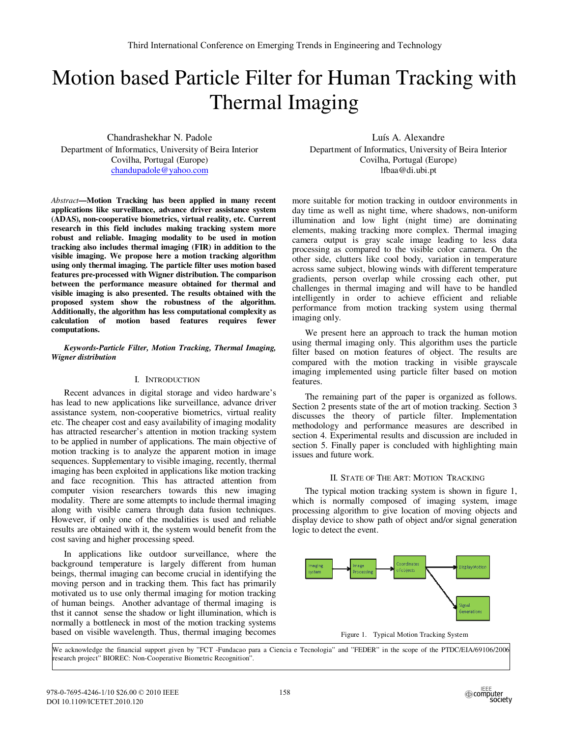# Motion based Particle Filter for Human Tracking with Thermal Imaging

Chandrashekhar N. Padole Department of Informatics, University of Beira Interior Covilha, Portugal (Europe) chandupadole@yahoo.com

Luís A. Alexandre Department of Informatics, University of Beira Interior Covilha, Portugal (Europe) lfbaa@di.ubi.pt

*Abstract***—Motion Tracking has been applied in many recent applications like surveillance, advance driver assistance system (ADAS), non-cooperative biometrics, virtual reality, etc. Current research in this field includes making tracking system more robust and reliable. Imaging modality to be used in motion tracking also includes thermal imaging (FIR) in addition to the visible imaging. We propose here a motion tracking algorithm using only thermal imaging. The particle filter uses motion based features pre-processed with Wigner distribution. The comparison between the performance measure obtained for thermal and visible imaging is also presented. The results obtained with the proposed system show the robustness of the algorithm. Additionally, the algorithm has less computational complexity as calculation of motion based features requires fewer computations.** 

## *Keywords-Particle Filter, Motion Tracking, Thermal Imaging, Wigner distribution*

# I. INTRODUCTION

Recent advances in digital storage and video hardware's has lead to new applications like surveillance, advance driver assistance system, non-cooperative biometrics, virtual reality etc. The cheaper cost and easy availability of imaging modality has attracted researcher's attention in motion tracking system to be applied in number of applications. The main objective of motion tracking is to analyze the apparent motion in image sequences. Supplementary to visible imaging, recently, thermal imaging has been exploited in applications like motion tracking and face recognition. This has attracted attention from computer vision researchers towards this new imaging modality. There are some attempts to include thermal imaging along with visible camera through data fusion techniques. However, if only one of the modalities is used and reliable results are obtained with it, the system would benefit from the cost saving and higher processing speed.

In applications like outdoor surveillance, where the background temperature is largely different from human beings, thermal imaging can become crucial in identifying the moving person and in tracking them. This fact has primarily motivated us to use only thermal imaging for motion tracking of human beings. Another advantage of thermal imaging is thst it cannot sense the shadow or light illumination, which is normally a bottleneck in most of the motion tracking systems based on visible wavelength. Thus, thermal imaging becomes

research project" BIOREC: Non-Cooperative Biometric Recognition".

more suitable for motion tracking in outdoor environments in day time as well as night time, where shadows, non-uniform illumination and low light (night time) are dominating elements, making tracking more complex. Thermal imaging camera output is gray scale image leading to less data processing as compared to the visible color camera. On the other side, clutters like cool body, variation in temperature across same subject, blowing winds with different temperature gradients, person overlap while crossing each other, put challenges in thermal imaging and will have to be handled intelligently in order to achieve efficient and reliable performance from motion tracking system using thermal imaging only.

We present here an approach to track the human motion using thermal imaging only. This algorithm uses the particle filter based on motion features of object. The results are compared with the motion tracking in visible grayscale imaging implemented using particle filter based on motion features.

The remaining part of the paper is organized as follows. Section 2 presents state of the art of motion tracking. Section 3 discusses the theory of particle filter. Implementation methodology and performance measures are described in section 4. Experimental results and discussion are included in section 5. Finally paper is concluded with highlighting main issues and future work.

## II. STATE OF THE ART: MOTION TRACKING

The typical motion tracking system is shown in figure 1, which is normally composed of imaging system, image processing algorithm to give location of moving objects and display device to show path of object and/or signal generation logic to detect the event.



We acknowledge the financial support given by "FCT -Fundacao para a Ciencia e Tecnologia" and "FEDER" in the scope of the PTDC/EIA/69106/2006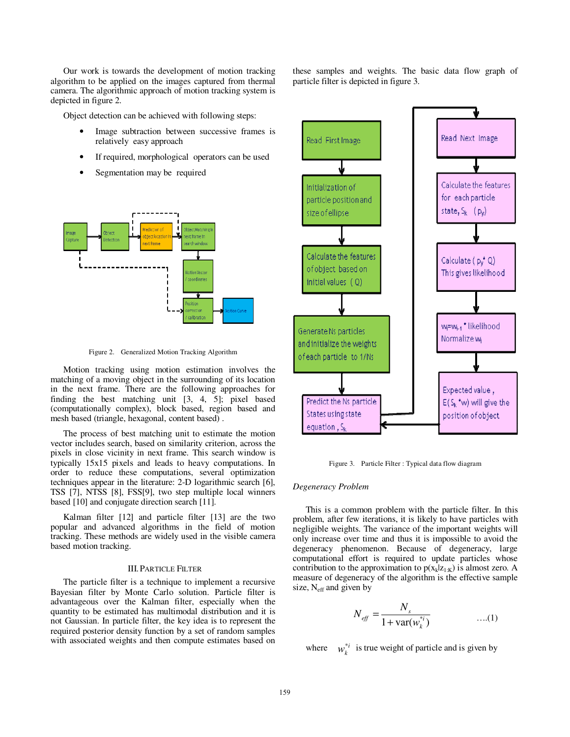Our work is towards the development of motion tracking algorithm to be applied on the images captured from thermal camera. The algorithmic approach of motion tracking system is depicted in figure 2.

Object detection can be achieved with following steps:

- Image subtraction between successive frames is relatively easy approach
- If required, morphological operators can be used
- Segmentation may be required



Figure 2. Generalized Motion Tracking Algorithm

Motion tracking using motion estimation involves the matching of a moving object in the surrounding of its location in the next frame. There are the following approaches for finding the best matching unit [3, 4, 5]; pixel based (computationally complex), block based, region based and mesh based (triangle, hexagonal, content based) .

The process of best matching unit to estimate the motion vector includes search, based on similarity criterion, across the pixels in close vicinity in next frame. This search window is typically 15x15 pixels and leads to heavy computations. In order to reduce these computations, several optimization techniques appear in the literature: 2-D logarithmic search [6], TSS [7], NTSS [8], FSS[9], two step multiple local winners based [10] and conjugate direction search [11].

Kalman filter [12] and particle filter [13] are the two popular and advanced algorithms in the field of motion tracking. These methods are widely used in the visible camera based motion tracking.

# III.PARTICLE FILTER

The particle filter is a technique to implement a recursive Bayesian filter by Monte Carlo solution. Particle filter is advantageous over the Kalman filter, especially when the quantity to be estimated has multimodal distribution and it is not Gaussian. In particle filter, the key idea is to represent the required posterior density function by a set of random samples with associated weights and then compute estimates based on these samples and weights. The basic data flow graph of particle filter is depicted in figure 3.



Figure 3. Particle Filter : Typical data flow diagram

## *Degeneracy Problem*

This is a common problem with the particle filter. In this problem, after few iterations, it is likely to have particles with negligible weights. The variance of the important weights will only increase over time and thus it is impossible to avoid the degeneracy phenomenon. Because of degeneracy, large computational effort is required to update particles whose contribution to the approximation to  $p(x_k|z_{1:K})$  is almost zero. A measure of degeneracy of the algorithm is the effective sample size, N<sub>eff</sub> and given by

$$
N_{\text{eff}} = \frac{N_s}{1 + \text{var}(w_k^{*i})} \qquad \qquad \dots (1)
$$

where  $w_k^{*i}$  is true weight of particle and is given by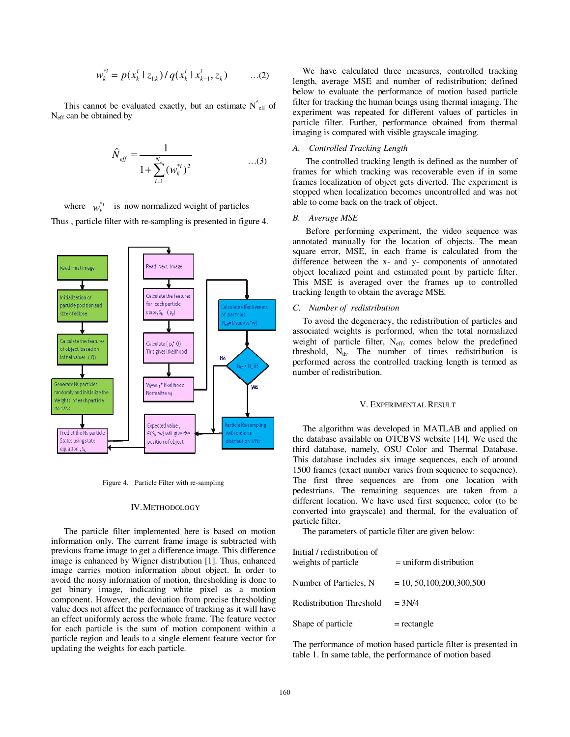$$
w_k^{*i} = p(x_k^i \mid z_{1:k}) / q(x_k^i \mid x_{k-1}^i, z_k) \quad ...(2)
$$

This cannot be evaluated exactly, but an estimate  $N^{\hat{}}_{\text{eff}}$  of N<sub>eff</sub> can be obtained by

$$
\hat{N}_{\text{eff}} = \frac{1}{1 + \sum_{i=1}^{N_s} (w_k^{*i})^2} \qquad ...(3)
$$

where  $w_k^{*i}$  is now normalized weight of particles Thus , particle filter with re-sampling is presented in figure 4.



Figure 4. Particle Filter with re-sampling

## IV.METHODOLOGY

The particle filter implemented here is based on motion information only. The current frame image is subtracted with previous frame image to get a difference image. This difference image is enhanced by Wigner distribution [1]. Thus, enhanced image carries motion information about object. In order to avoid the noisy information of motion, thresholding is done to get binary image, indicating white pixel as a motion component. However, the deviation from precise thresholding value does not affect the performance of tracking as it will have an effect uniformly across the whole frame. The feature vector for each particle is the sum of motion component within a particle region and leads to a single element feature vector for updating the weights for each particle.

We have calculated three measures, controlled tracking length, average MSE and number of redistribution; defined below to evaluate the performance of motion based particle filter for tracking the human beings using thermal imaging. The experiment was repeated for different values of particles in particle filter. Further, performance obtained from thermal imaging is compared with visible grayscale imaging.

# *A. Controlled Tracking Length*

The controlled tracking length is defined as the number of frames for which tracking was recoverable even if in some frames localization of object gets diverted. The experiment is stopped when localization becomes uncontrolled and was not able to come back on the track of object.

## *B. Average MSE*

Before performing experiment, the video sequence was annotated manually for the location of objects. The mean square error, MSE, in each frame is calculated from the difference between the x- and y- components of annotated object localized point and estimated point by particle filter. This MSE is averaged over the frames up to controlled tracking length to obtain the average MSE.

## *C. Number of redistribution*

To avoid the degeneracy, the redistribution of particles and associated weights is performed, when the total normalized weight of particle filter,  $N_{\text{eff}}$ , comes below the predefined threshold,  $N_{th}$ . The number of times redistribution is performed across the controlled tracking length is termed as number of redistribution.

#### V. EXPERIMENTAL RESULT

The algorithm was developed in MATLAB and applied on the database available on OTCBVS website [14]. We used the third database, namely, OSU Color and Thermal Database. This database includes six image sequences, each of around 1500 frames (exact number varies from sequence to sequence). The first three sequences are from one location with pedestrians. The remaining sequences are taken from a different location. We have used first sequence, color (to be converted into grayscale) and thermal, for the evaluation of particle filter.

The parameters of particle filter are given below:

| Initial / redistribution of<br>weights of particle | $=$ uniform distribution       |  |  |
|----------------------------------------------------|--------------------------------|--|--|
| Number of Particles, N                             | $= 10, 50, 100, 200, 300, 500$ |  |  |
| Redistribution Threshold                           | $= 3N/4$                       |  |  |
| Shape of particle                                  | $=$ rectangle                  |  |  |

The performance of motion based particle filter is presented in table 1. In same table, the performance of motion based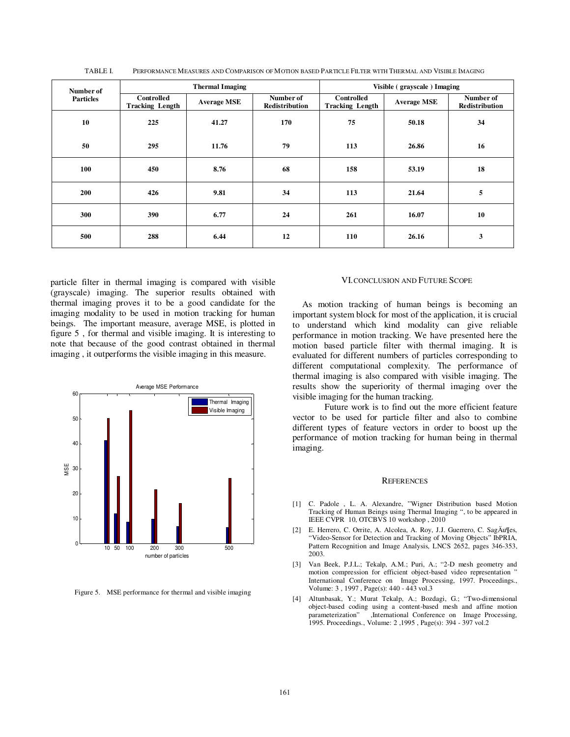| Number of<br><b>Particles</b> | <b>Thermal Imaging</b>               |                    |                                    | Visible (grayscale) Imaging                 |                    |                             |
|-------------------------------|--------------------------------------|--------------------|------------------------------------|---------------------------------------------|--------------------|-----------------------------|
|                               | Controlled<br><b>Tracking Length</b> | <b>Average MSE</b> | Number of<br><b>Redistribution</b> | <b>Controlled</b><br><b>Tracking Length</b> | <b>Average MSE</b> | Number of<br>Redistribution |
| 10                            | 225                                  | 41.27              | 170                                | 75                                          | 50.18              | 34                          |
| 50                            | 295                                  | 11.76              | 79                                 | 113                                         | 26.86              | 16                          |
| 100                           | 450                                  | 8.76               | 68                                 | 158                                         | 53.19              | 18                          |
| 200                           | 426                                  | 9.81               | 34                                 | 113                                         | 21.64              | 5                           |
| 300                           | 390                                  | 6.77               | 24                                 | 261                                         | 16.07              | 10                          |
| 500                           | 288                                  | 6.44               | 12                                 | 110                                         | 26.16              | 3                           |

TABLE I. PERFORMANCE MEASURES AND COMPARISON OF MOTION BASED PARTICLE FILTER WITH THERMAL AND VISIBLE IMAGING

particle filter in thermal imaging is compared with visible (grayscale) imaging. The superior results obtained with thermal imaging proves it to be a good candidate for the imaging modality to be used in motion tracking for human beings. The important measure, average MSE, is plotted in figure 5 , for thermal and visible imaging. It is interesting to note that because of the good contrast obtained in thermal imaging , it outperforms the visible imaging in this measure.



Figure 5. MSE performance for thermal and visible imaging

## VI.CONCLUSION AND FUTURE SCOPE

As motion tracking of human beings is becoming an important system block for most of the application, it is crucial to understand which kind modality can give reliable performance in motion tracking. We have presented here the motion based particle filter with thermal imaging. It is evaluated for different numbers of particles corresponding to different computational complexity. The performance of thermal imaging is also compared with visible imaging. The results show the superiority of thermal imaging over the visible imaging for the human tracking.

 Future work is to find out the more efficient feature vector to be used for particle filter and also to combine different types of feature vectors in order to boost up the performance of motion tracking for human being in thermal imaging.

## **REFERENCES**

- [1] C. Padole , L. A. Alexandre, "Wigner Distribution based Motion Tracking of Human Beings using Thermal Imaging ", to be appeared in IEEE CVPR 10, OTCBVS 10 workshop , 2010
- [2] E. Herrero, C. Orrite, A. Alcolea, A. Roy, J.J. Guerrero, C. SagÄu¶es, "Video-Sensor for Detection and Tracking of Moving Objects" IbPRIA, Pattern Recognition and Image Analysis, LNCS 2652, pages 346-353, 2003.
- [3] Van Beek, P.J.L.; Tekalp, A.M.; Puri, A.; "2-D mesh geometry and motion compression for efficient object-based video representation " International Conference on Image Processing, 1997. Proceedings., Volume: 3, 1997, Page(s): 440 - 443 vol.3
- [4] Altunbasak, Y.; Murat Tekalp, A.; Bozdagi, G.; "Two-dimensional object-based coding using a content-based mesh and affine motion ,International Conference on Image Processing, 1995. Proceedings., Volume: 2 ,1995 , Page(s): 394 - 397 vol.2